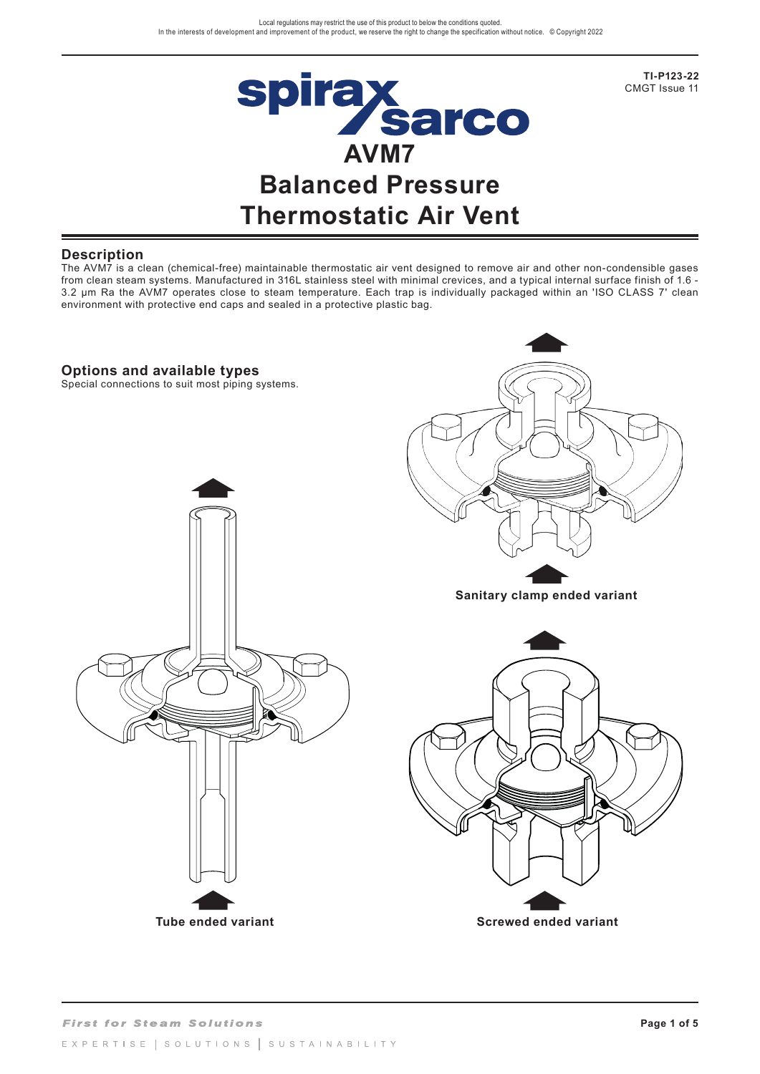

**TI-P123-22**  CMGT Issue 11

## **Description**

The AVM7 is a clean (chemical-free) maintainable thermostatic air vent designed to remove air and other non-condensible gases from clean steam systems. Manufactured in 316L stainless steel with minimal crevices, and a typical internal surface finish of 1.6 - 3.2 µm Ra the AVM7 operates close to steam temperature. Each trap is individually packaged within an 'ISO CLASS 7' clean environment with protective end caps and sealed in a protective plastic bag.

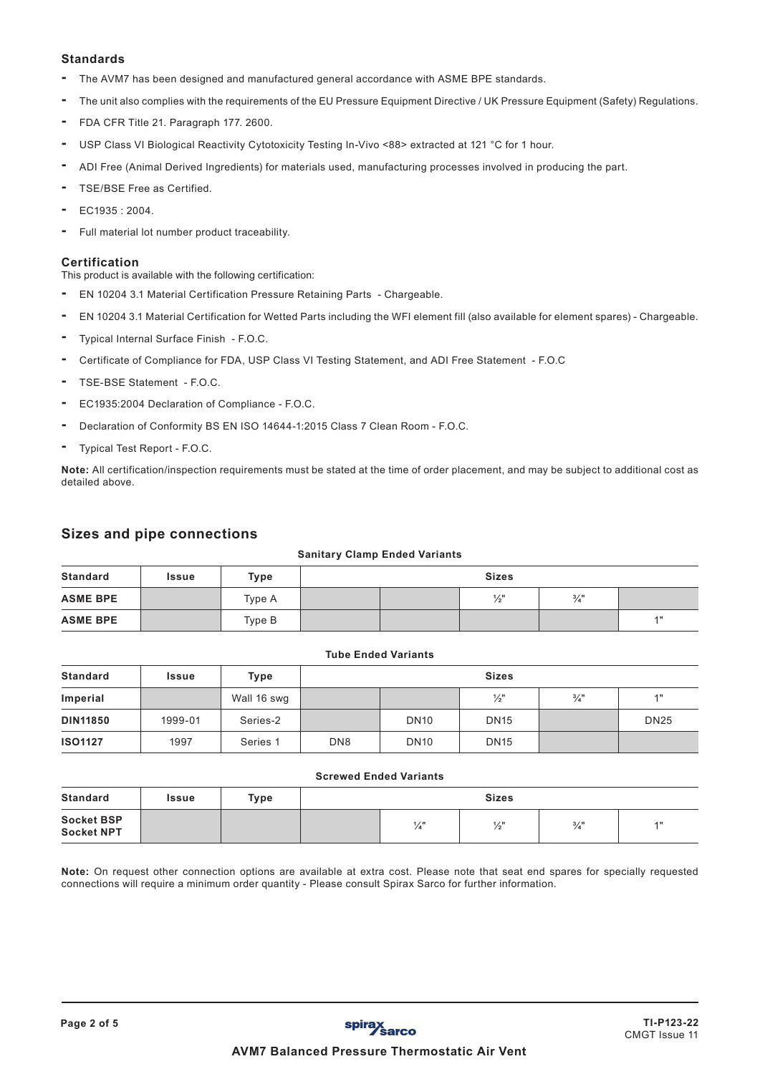### **Standards**

- The AVM7 has been designed and manufactured general accordance with ASME BPE standards.
- The unit also complies with the requirements of the EU Pressure Equipment Directive / UK Pressure Equipment (Safety) Regulations.
- FDA CFR Title 21. Paragraph 177. 2600.
- USP Class VI Biological Reactivity Cytotoxicity Testing In-Vivo <88> extracted at 121 °C for 1 hour.
- ADI Free (Animal Derived Ingredients) for materials used, manufacturing processes involved in producing the part.
- TSE/BSE Free as Certified.
- EC1935 : 2004.
- Full material lot number product traceability.

### **Certification**

This product is available with the following certification:

- EN 10204 3.1 Material Certification Pressure Retaining Parts Chargeable.
- EN 10204 3.1 Material Certification for Wetted Parts including the WFI element fill (also available for element spares) Chargeable.
- Typical Internal Surface Finish F.O.C.
- Certificate of Compliance for FDA, USP Class VI Testing Statement, and ADI Free Statement F.O.C
- TSE-BSE Statement F.O.C.
- EC1935:2004 Declaration of Compliance F.O.C.
- Declaration of Conformity BS EN ISO 14644-1:2015 Class 7 Clean Room F.O.C.
- Typical Test Report F.O.C.

**Note:** All certification/inspection requirements must be stated at the time of order placement, and may be subject to additional cost as detailed above.

## **Sizes and pipe connections**

#### **Sanitary Clamp Ended Variants**

| <b>Standard</b> | <b>Issue</b> | Type   | <b>Sizes</b> |  |                 |                 |    |
|-----------------|--------------|--------|--------------|--|-----------------|-----------------|----|
| <b>ASME BPE</b> |              | Type A |              |  | $\frac{1}{2}$ " | $\frac{3}{4}$ " |    |
| <b>ASME BPE</b> |              | Type B |              |  |                 |                 | 4H |

### **Tube Ended Variants**

| Standard        | Issue   | Type        | <b>Sizes</b>    |             |                 |                 |             |
|-----------------|---------|-------------|-----------------|-------------|-----------------|-----------------|-------------|
| Imperial        |         | Wall 16 swg |                 |             | $\frac{1}{2}$ " | $\frac{3}{4}$ " | 4H          |
| <b>DIN11850</b> | 1999-01 | Series-2    |                 | <b>DN10</b> | <b>DN15</b>     |                 | <b>DN25</b> |
| <b>ISO1127</b>  | 1997    | Series 1    | DN <sub>8</sub> | <b>DN10</b> | <b>DN15</b>     |                 |             |

#### **Screwed Ended Variants**

| Standard                               | Issue | Type | <b>Sizes</b> |               |                 |                 |        |
|----------------------------------------|-------|------|--------------|---------------|-----------------|-----------------|--------|
| <b>Socket BSP</b><br><b>Socket NPT</b> |       |      |              | $\frac{1}{4}$ | $\frac{1}{2}$ " | $\frac{3}{4}$ " | $A$ II |

**Note:** On request other connection options are available at extra cost. Please note that seat end spares for specially requested connections will require a minimum order quantity - Please consult Spirax Sarco for further information.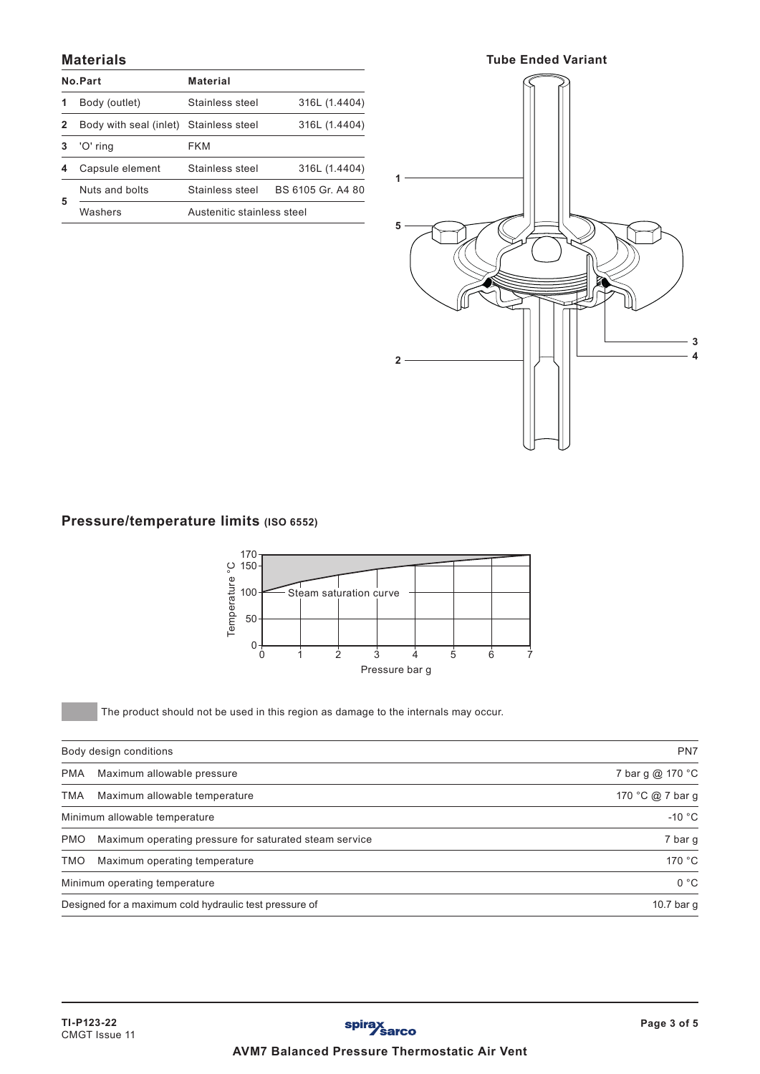## **Materials**

|   | No.Part                | <b>Material</b>            |                  |
|---|------------------------|----------------------------|------------------|
|   | Body (outlet)          | Stainless steel            | 316L (1.4404)    |
| 2 | Body with seal (inlet) | Stainless steel            | 316L (1.4404)    |
|   | 'O' ring               | FKM                        |                  |
| 4 | Capsule element        | Stainless steel            | 316L (1.4404)    |
|   | Nuts and bolts         | Stainless steel            | BS 6105 Gr A4 80 |
| 5 | Washers                | Austenitic stainless steel |                  |



# **Pressure/temperature limits (ISO 6552)**



The product should not be used in this region as damage to the internals may occur.

|            | Body design conditions                                 | PN7              |
|------------|--------------------------------------------------------|------------------|
| <b>PMA</b> | Maximum allowable pressure                             | 7 bar g @ 170 °C |
| TMA        | Maximum allowable temperature                          | 170 °C @ 7 bar g |
|            | Minimum allowable temperature                          | $-10$ °C         |
| <b>PMO</b> | Maximum operating pressure for saturated steam service | 7 bar g          |
| <b>TMO</b> | Maximum operating temperature                          | 170 °C           |
|            | Minimum operating temperature                          | 0 °C             |
|            | Designed for a maximum cold hydraulic test pressure of | 10.7 bar g       |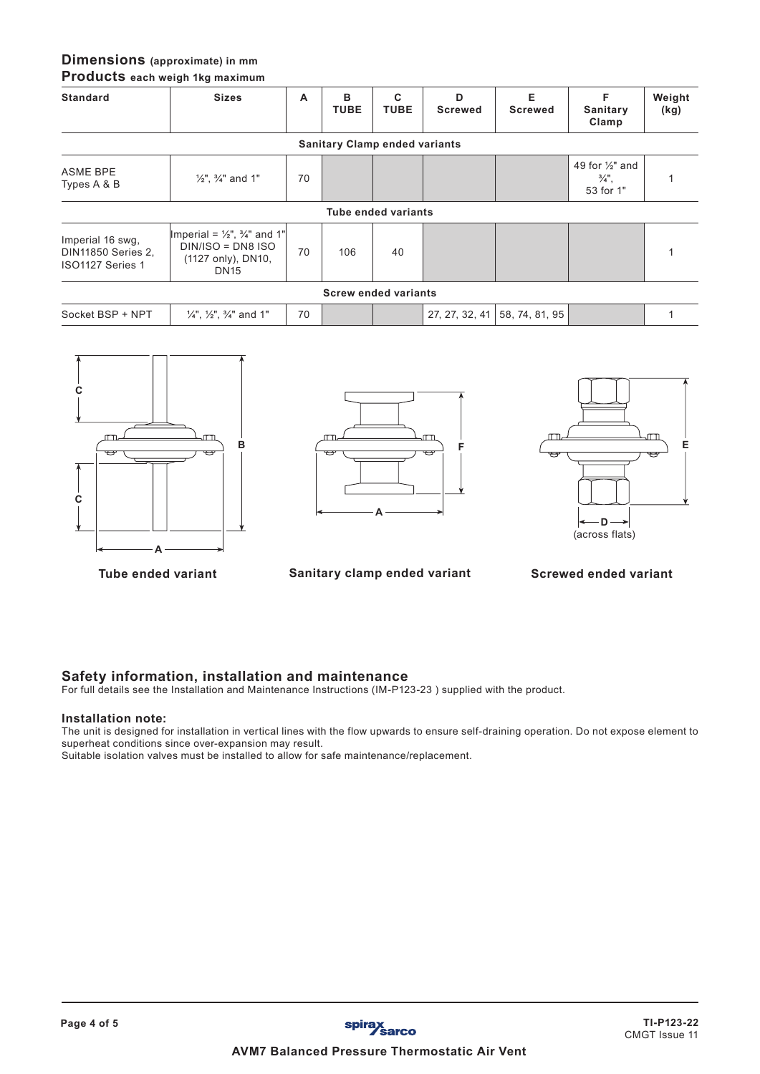# **Dimensions (approximate) in mm**

**Products each weigh 1kg maximum**

| <b>Standard</b>                                                   | <b>Sizes</b>                                                                                                | A  | в<br><b>TUBE</b>                     | C<br><b>TUBE</b>            | D<br><b>Screwed</b> | Е<br><b>Screwed</b>           | F<br>Sanitary                                               | Weight<br>(kg) |
|-------------------------------------------------------------------|-------------------------------------------------------------------------------------------------------------|----|--------------------------------------|-----------------------------|---------------------|-------------------------------|-------------------------------------------------------------|----------------|
|                                                                   |                                                                                                             |    | <b>Sanitary Clamp ended variants</b> |                             |                     |                               | Clamp                                                       |                |
| ASME BPE<br>Types A & B                                           | $\frac{1}{2}$ ", $\frac{3}{4}$ " and 1"                                                                     | 70 |                                      |                             |                     |                               | 49 for $\frac{1}{2}$ " and<br>$\frac{3}{4}$ ",<br>53 for 1" |                |
|                                                                   |                                                                                                             |    |                                      | <b>Tube ended variants</b>  |                     |                               |                                                             |                |
| Imperial 16 swg,<br><b>DIN11850 Series 2,</b><br>ISO1127 Series 1 | Imperial = $\frac{1}{2}$ , $\frac{3}{4}$ and 1"<br>$DIN/ISO = DNS ISO$<br>(1127 only), DN10,<br><b>DN15</b> | 70 | 106                                  | 40                          |                     |                               |                                                             |                |
|                                                                   |                                                                                                             |    |                                      | <b>Screw ended variants</b> |                     |                               |                                                             |                |
| Socket BSP + NPT                                                  | $\frac{1}{4}$ , $\frac{1}{2}$ , $\frac{3}{4}$ and 1"                                                        | 70 |                                      |                             |                     | 27, 27, 32, 41 58, 74, 81, 95 |                                                             |                |



**A F**



**Tube ended variant Sanitary clamp ended variant Screwed ended variant**

## **Safety information, installation and maintenance**

For full details see the Installation and Maintenance Instructions (IM-P123-23 ) supplied with the product.

#### **Installation note:**

The unit is designed for installation in vertical lines with the flow upwards to ensure self-draining operation. Do not expose element to superheat conditions since over-expansion may result.

Suitable isolation valves must be installed to allow for safe maintenance/replacement.